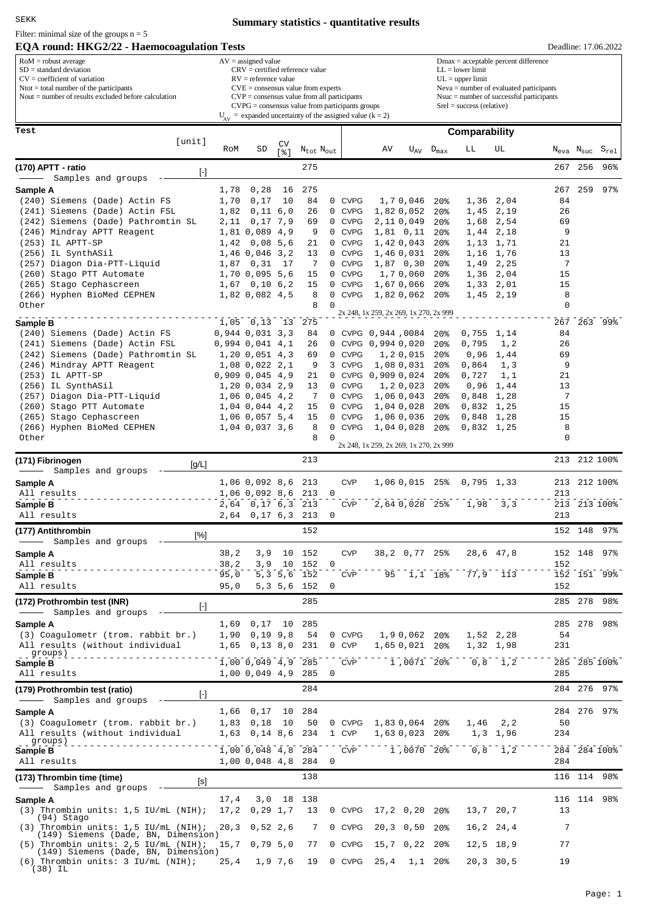## **Summary statistics - quantitative results**

## **EQA round: HKG2/22 - Haemocoagulation Tests** Filter: minimal size of the groups  $n = 5$

Deadline: 17.06.2022

| $\text{RoM} = \text{robust average}$                                | $AV = assigned value$                                         |
|---------------------------------------------------------------------|---------------------------------------------------------------|
| $SD = standard deviation$                                           | $CRV =$ certified reference value                             |
| $CV = coefficient of variation$                                     | $RV =$ reference value                                        |
| $\Lambda$ Ntot = total number of the participants                   | $CVE = \text{consensus value from experts}$                   |
| $\blacksquare$ Nout = number of results excluded before calculation | $CVP = \text{consensus value from all participants}$          |
|                                                                     | $CVPG = \text{consensus value from participants groups}$      |
|                                                                     | $U_{av}$ = expanded uncertainty of the assigned value (k = 2) |

 $\nabla$  = assigned value Dmax = acceptable percent difference CRV = certified reference value RV = reference value CVE = consensus value from experts CVP = consensus value from all participants

 $LL =$  lower limit UL = upper limit Neva = number of evaluated participants

Nsuc = number of successful participants

Srel = success (relative)

| Test                                                                                                                                                                                                                                                                                                                                                                                                                                                                                                                                                                                                                                                                                                                                                                                                                                                                                                           |      |                                      |                                   |                             |             | Comparability    |                                        |                          |                                    |               |                        |          |                                                    |              |
|----------------------------------------------------------------------------------------------------------------------------------------------------------------------------------------------------------------------------------------------------------------------------------------------------------------------------------------------------------------------------------------------------------------------------------------------------------------------------------------------------------------------------------------------------------------------------------------------------------------------------------------------------------------------------------------------------------------------------------------------------------------------------------------------------------------------------------------------------------------------------------------------------------------|------|--------------------------------------|-----------------------------------|-----------------------------|-------------|------------------|----------------------------------------|--------------------------|------------------------------------|---------------|------------------------|----------|----------------------------------------------------|--------------|
| [unit]                                                                                                                                                                                                                                                                                                                                                                                                                                                                                                                                                                                                                                                                                                                                                                                                                                                                                                         | RoM  | SD                                   | CV<br>$\lceil \frac{6}{6} \rceil$ | $\rm N_{tot}$ $\rm N_{out}$ |             |                  | AV                                     |                          | $U_{\rm AV}$ $D_{\rm max}$         | LL            | UL                     |          | $N_{\text{eva}}$ $N_{\text{suc}}$ $S_{\text{rel}}$ |              |
| (170) APTT - ratio                                                                                                                                                                                                                                                                                                                                                                                                                                                                                                                                                                                                                                                                                                                                                                                                                                                                                             |      |                                      |                                   | 275                         |             |                  |                                        |                          |                                    |               |                        |          | 267 256                                            | 96%          |
| $[\cdot] % \centering \includegraphics[width=0.9\textwidth]{images/TrDiM-Architecture.png} % \caption{The first two different values of $S$ and $S$ are shown in the left, the first two different values of $S$ and $S$ are shown in the right, and the second two different values of $S$ are shown in the right, and the second two different values of $S$ are shown in the right, and the second two different values of $S$ are shown in the right, and the third two different values of $S$ are shown in the right, and the third two different values of $S$ are shown in the right, and the third two different values of $S$ are shown in the right, and the third two different values of $S$ are shown in the right, and the third two different values of $S$ are shown in the right, and the third two different values of $S$ are shown in the right, and the third two$<br>Samples and groups |      |                                      |                                   |                             |             |                  |                                        |                          |                                    |               |                        |          |                                                    |              |
| Sample A                                                                                                                                                                                                                                                                                                                                                                                                                                                                                                                                                                                                                                                                                                                                                                                                                                                                                                       | 1,78 | 0,28                                 | 16                                | 275                         |             |                  |                                        |                          |                                    |               |                        | 267      | 259                                                | 97           |
| (240) Siemens (Dade) Actin FS                                                                                                                                                                                                                                                                                                                                                                                                                                                                                                                                                                                                                                                                                                                                                                                                                                                                                  | 1,70 | 0,17                                 | 10                                | 84                          |             | 0 CVPG           |                                        | 1,70,046                 | $20\%$                             |               | 1,36 2,04              | 84       |                                                    |              |
| (241) Siemens (Dade) Actin FSL                                                                                                                                                                                                                                                                                                                                                                                                                                                                                                                                                                                                                                                                                                                                                                                                                                                                                 | 1,82 | $0,11$ 6,0                           |                                   | 26                          |             | 0 CVPG           |                                        | 1,820,052                | 20 <sup>8</sup>                    |               | 1,45 2,19              | 26       |                                                    |              |
| (242) Siemens (Dade) Pathromtin SL                                                                                                                                                                                                                                                                                                                                                                                                                                                                                                                                                                                                                                                                                                                                                                                                                                                                             | 2,11 | 0,17 7,9                             |                                   | 69                          |             | 0 CVPG           |                                        | 2,110,049                | 20%                                |               | 1,68 2,54              | 69       |                                                    |              |
| (246) Mindray APTT Reagent<br>$(253)$ IL APTT-SP                                                                                                                                                                                                                                                                                                                                                                                                                                                                                                                                                                                                                                                                                                                                                                                                                                                               | 1,42 | 1,81 0,089 4,9<br>0,08 5,6           |                                   | 9<br>21                     |             | 0 CVPG<br>0 CVPG |                                        | $1,81$ 0,11<br>1,420,043 | 20 <sup>8</sup><br>20 <sup>8</sup> |               | 1,44 2,18<br>1,13 1,71 | 9<br>21  |                                                    |              |
| (256) IL SynthASil                                                                                                                                                                                                                                                                                                                                                                                                                                                                                                                                                                                                                                                                                                                                                                                                                                                                                             |      | 1,46 0,046 3,2                       |                                   | 13                          |             | 0 CVPG           |                                        | 1,460,031                | 20 <sup>8</sup>                    |               | 1,16 1,76              | 13       |                                                    |              |
| (257) Diagon Dia-PTT-Liquid                                                                                                                                                                                                                                                                                                                                                                                                                                                                                                                                                                                                                                                                                                                                                                                                                                                                                    | 1,87 | 0,31                                 | 17                                | 7                           |             | 0 CVPG           |                                        | $1,87$ 0,30              | 20 <sup>8</sup>                    |               | 1,49 2,25              | 7        |                                                    |              |
| (260) Stago PTT Automate                                                                                                                                                                                                                                                                                                                                                                                                                                                                                                                                                                                                                                                                                                                                                                                                                                                                                       |      | 1,70 0,095 5,6                       |                                   | 15                          |             | 0 CVPG           |                                        | 1,70,060                 | 20%                                |               | 1,36 2,04              | 15       |                                                    |              |
| (265) Stago Cephascreen                                                                                                                                                                                                                                                                                                                                                                                                                                                                                                                                                                                                                                                                                                                                                                                                                                                                                        |      | $1,67$ 0,10 6,2                      |                                   | 15                          |             | 0 CVPG           |                                        | 1,670,066                | 20 <sup>8</sup>                    |               | $1,33$ $2,01$          | 15       |                                                    |              |
| (266) Hyphen BioMed CEPHEN                                                                                                                                                                                                                                                                                                                                                                                                                                                                                                                                                                                                                                                                                                                                                                                                                                                                                     |      | 1,82 0,082 4,5                       |                                   | 8                           | 0           | <b>CVPG</b>      |                                        | 1,820,062                | 20 <sub>8</sub>                    |               | 1,45 2,19              | 8        |                                                    |              |
| Other                                                                                                                                                                                                                                                                                                                                                                                                                                                                                                                                                                                                                                                                                                                                                                                                                                                                                                          |      |                                      |                                   | 8                           | 0           |                  | 2x 248, 1x 259, 2x 269, 1x 270, 2x 999 |                          |                                    |               |                        | 0        |                                                    |              |
| Sample B                                                                                                                                                                                                                                                                                                                                                                                                                                                                                                                                                                                                                                                                                                                                                                                                                                                                                                       |      | 1,05 0,13 13 275                     |                                   |                             |             |                  |                                        |                          |                                    |               |                        | 267      |                                                    | 263 99%      |
| (240) Siemens (Dade) Actin FS                                                                                                                                                                                                                                                                                                                                                                                                                                                                                                                                                                                                                                                                                                                                                                                                                                                                                  |      | $0,944$ $0,031$ $3,3$                |                                   | 84                          |             |                  | 0 CVPG 0,944,0084                      |                          | 20%                                | $0,755$ 1,14  |                        | 84       |                                                    |              |
| (241) Siemens (Dade) Actin FSL                                                                                                                                                                                                                                                                                                                                                                                                                                                                                                                                                                                                                                                                                                                                                                                                                                                                                 |      | $0,994$ $0,041$ $4,1$                |                                   | 26                          |             |                  | 0 CVPG 0,994 0,020                     |                          | 20 <sup>8</sup>                    | 0,795         | 1,2                    | 26       |                                                    |              |
| (242) Siemens (Dade) Pathromtin SL                                                                                                                                                                                                                                                                                                                                                                                                                                                                                                                                                                                                                                                                                                                                                                                                                                                                             |      | 1, 20, 0, 051, 4, 3                  |                                   | 69                          |             | 0 CVPG           |                                        | 1,20,015                 | 20%                                | 0,96          | 1,44                   | 69       |                                                    |              |
| (246) Mindray APTT Reagent                                                                                                                                                                                                                                                                                                                                                                                                                                                                                                                                                                                                                                                                                                                                                                                                                                                                                     |      | $1,08$ 0,022 2,1                     |                                   | 9                           |             | 3 CVPG           |                                        | 1,08 0,031               | $20\%$                             | 0,864         | 1,3                    | 9        |                                                    |              |
| (253) IL APTT-SP<br>(256) IL SynthASil                                                                                                                                                                                                                                                                                                                                                                                                                                                                                                                                                                                                                                                                                                                                                                                                                                                                         |      | $0,909$ $0,045$ $4,9$                |                                   | 21<br>13                    |             | 0 CVPG           | 0 CVPG 0,909 0,024                     | 1,20,023                 | 20%<br>20%                         | 0,727<br>0,96 | 1,1                    | 21<br>13 |                                                    |              |
| (257) Diagon Dia-PTT-Liquid                                                                                                                                                                                                                                                                                                                                                                                                                                                                                                                                                                                                                                                                                                                                                                                                                                                                                    |      | 1,20 0,034 2,9<br>1,06 0,045 4,2     |                                   | 7                           |             | 0 CVPG           |                                        | 1,060,043                | 20%                                | $0,848$ 1,28  | 1,44                   | 7        |                                                    |              |
| (260) Stago PTT Automate                                                                                                                                                                                                                                                                                                                                                                                                                                                                                                                                                                                                                                                                                                                                                                                                                                                                                       |      | 1,04 0,044 4,2                       |                                   | 15                          |             | 0 CVPG           |                                        | 1,04 0,028               | 20%                                | $0,832$ 1,25  |                        | 15       |                                                    |              |
| (265) Stago Cephascreen                                                                                                                                                                                                                                                                                                                                                                                                                                                                                                                                                                                                                                                                                                                                                                                                                                                                                        |      | 1,06 0,057 5,4                       |                                   | 15                          |             | 0 CVPG           |                                        | 1,060,036                | 20%                                | $0,848$ 1,28  |                        | 15       |                                                    |              |
| (266) Hyphen BioMed CEPHEN                                                                                                                                                                                                                                                                                                                                                                                                                                                                                                                                                                                                                                                                                                                                                                                                                                                                                     |      | 1,04 0,037 3,6                       |                                   | 8                           |             | 0 CVPG           |                                        | 1,04 0,028               | 20 <sub>8</sub>                    | $0,832$ 1,25  |                        | 8        |                                                    |              |
| Other                                                                                                                                                                                                                                                                                                                                                                                                                                                                                                                                                                                                                                                                                                                                                                                                                                                                                                          |      |                                      |                                   | 8                           | $\Omega$    |                  |                                        |                          |                                    |               |                        | 0        |                                                    |              |
|                                                                                                                                                                                                                                                                                                                                                                                                                                                                                                                                                                                                                                                                                                                                                                                                                                                                                                                |      |                                      |                                   |                             |             |                  | 2x 248, 1x 259, 2x 269, 1x 270, 2x 999 |                          |                                    |               |                        |          |                                                    |              |
| (171) Fibrinogen<br>[g/L]                                                                                                                                                                                                                                                                                                                                                                                                                                                                                                                                                                                                                                                                                                                                                                                                                                                                                      |      |                                      |                                   | 213                         |             |                  |                                        |                          |                                    |               |                        |          | 213 212 100%                                       |              |
| Samples and groups<br>$\overbrace{\hspace{25mm}}$<br>Sample A                                                                                                                                                                                                                                                                                                                                                                                                                                                                                                                                                                                                                                                                                                                                                                                                                                                  |      | 1,06 0,092 8,6 213                   |                                   |                             |             | <b>CVP</b>       |                                        | 1,06 0,015 25%           |                                    | $0,795$ 1,33  |                        |          | 213 212 100%                                       |              |
| All results                                                                                                                                                                                                                                                                                                                                                                                                                                                                                                                                                                                                                                                                                                                                                                                                                                                                                                    |      | 1,06 0,092 8,6                       |                                   | 213                         | 0           |                  |                                        |                          |                                    |               |                        | 213      |                                                    |              |
| Sample B                                                                                                                                                                                                                                                                                                                                                                                                                                                                                                                                                                                                                                                                                                                                                                                                                                                                                                       |      | 2,64 0,17 6,3 213                    |                                   |                             |             | <b>CVP</b>       |                                        | 2,64 0,028 25%           |                                    | 1,98          | $-5, 3$                |          | 213 213 100%                                       |              |
| All results                                                                                                                                                                                                                                                                                                                                                                                                                                                                                                                                                                                                                                                                                                                                                                                                                                                                                                    |      | 2,64 0,17 6,3 213                    |                                   |                             | $\mathbf 0$ |                  |                                        |                          |                                    |               |                        | 213      |                                                    |              |
| (177) Antithrombin                                                                                                                                                                                                                                                                                                                                                                                                                                                                                                                                                                                                                                                                                                                                                                                                                                                                                             |      |                                      |                                   | 152                         |             |                  |                                        |                          |                                    |               |                        |          | 152 148                                            | 97%          |
| [%]<br>Samples and groups                                                                                                                                                                                                                                                                                                                                                                                                                                                                                                                                                                                                                                                                                                                                                                                                                                                                                      |      |                                      |                                   |                             |             |                  |                                        |                          |                                    |               |                        |          |                                                    |              |
| Sample A                                                                                                                                                                                                                                                                                                                                                                                                                                                                                                                                                                                                                                                                                                                                                                                                                                                                                                       | 38,2 | 3,9                                  |                                   | 10 152                      |             | <b>CVP</b>       |                                        | 38,2 0,77 25%            |                                    |               | 28,6 47,8              |          | 152 148                                            | 97           |
| All results                                                                                                                                                                                                                                                                                                                                                                                                                                                                                                                                                                                                                                                                                                                                                                                                                                                                                                    | 38,2 | 3,9                                  | 10                                | 152                         | $\Omega$    |                  |                                        |                          |                                    |               |                        | 152      |                                                    |              |
| Sample B                                                                                                                                                                                                                                                                                                                                                                                                                                                                                                                                                                                                                                                                                                                                                                                                                                                                                                       | 95,0 | 5, 3                                 | 5,6                               | 152                         |             | <b>CVP</b>       | 95                                     | $\overline{1}, 1$ 18%    |                                    | 77,9          | 113                    |          | 152 151 99%                                        |              |
| All results                                                                                                                                                                                                                                                                                                                                                                                                                                                                                                                                                                                                                                                                                                                                                                                                                                                                                                    | 95,0 |                                      |                                   | 5,3,5,6,152                 | $\mathbf 0$ |                  |                                        |                          |                                    |               |                        | 152      |                                                    |              |
| (172) Prothrombin test (INR)<br>$\lbrack - \rbrack$                                                                                                                                                                                                                                                                                                                                                                                                                                                                                                                                                                                                                                                                                                                                                                                                                                                            |      |                                      |                                   | 285                         |             |                  |                                        |                          |                                    |               |                        |          | 285 278                                            | 98%          |
| Samples and groups                                                                                                                                                                                                                                                                                                                                                                                                                                                                                                                                                                                                                                                                                                                                                                                                                                                                                             |      |                                      |                                   |                             |             |                  |                                        |                          |                                    |               |                        |          |                                                    |              |
| Sample A                                                                                                                                                                                                                                                                                                                                                                                                                                                                                                                                                                                                                                                                                                                                                                                                                                                                                                       |      | 1,69 0,17 10 285                     |                                   |                             |             |                  |                                        |                          |                                    |               |                        |          |                                                    | 285 278 98%  |
| (3) Coagulometr (trom. rabbit br.)                                                                                                                                                                                                                                                                                                                                                                                                                                                                                                                                                                                                                                                                                                                                                                                                                                                                             |      | $1,90$ 0,19 9,8<br>1,65 0,13 8,0 231 |                                   | 54                          |             | 0 CVPG<br>0 CVP  |                                        | 1,90,062 20%             |                                    |               | 1,52 2,28<br>1,32 1,98 | 54       |                                                    |              |
| All results (without individual<br><sub>- -</sub> groups)                                                                                                                                                                                                                                                                                                                                                                                                                                                                                                                                                                                                                                                                                                                                                                                                                                                      |      |                                      |                                   |                             |             |                  |                                        | 1,65 0,021 20%           |                                    |               |                        | 231      |                                                    |              |
| Sample B                                                                                                                                                                                                                                                                                                                                                                                                                                                                                                                                                                                                                                                                                                                                                                                                                                                                                                       |      | 1,00 0,049 4,9 285                   |                                   |                             |             | CVP              |                                        | 1,0071 20%               |                                    | $0,8$ 1,2     |                        |          |                                                    | 285 285 100% |
| All results                                                                                                                                                                                                                                                                                                                                                                                                                                                                                                                                                                                                                                                                                                                                                                                                                                                                                                    |      | 1,00 0,049 4,9 285                   |                                   |                             | 0           |                  |                                        |                          |                                    |               |                        | 285      |                                                    |              |
| (179) Prothrombin test (ratio)<br>$[\cdot]$                                                                                                                                                                                                                                                                                                                                                                                                                                                                                                                                                                                                                                                                                                                                                                                                                                                                    |      |                                      |                                   | 284                         |             |                  |                                        |                          |                                    |               |                        |          |                                                    | 284 276 97%  |
| - Samples and groups -                                                                                                                                                                                                                                                                                                                                                                                                                                                                                                                                                                                                                                                                                                                                                                                                                                                                                         |      |                                      |                                   |                             |             |                  |                                        |                          |                                    |               |                        |          |                                                    |              |
| Sample A                                                                                                                                                                                                                                                                                                                                                                                                                                                                                                                                                                                                                                                                                                                                                                                                                                                                                                       |      | $1,66$ 0,17                          | 10                                | 284                         |             |                  |                                        |                          |                                    |               |                        |          | 284 276 97%                                        |              |
| (3) Coagulometr (trom. rabbit br.)                                                                                                                                                                                                                                                                                                                                                                                                                                                                                                                                                                                                                                                                                                                                                                                                                                                                             |      | $1,83$ 0,18                          | 10                                | 50                          |             |                  | 0 CVPG 1,83 0,064 20%                  |                          |                                    | 1,46          | 2, 2                   | 50       |                                                    |              |
| All results (without individual                                                                                                                                                                                                                                                                                                                                                                                                                                                                                                                                                                                                                                                                                                                                                                                                                                                                                |      | 1,63 0,14 8,6 234                    |                                   |                             |             | 1 CVP            |                                        | 1,63 0,023 20%           |                                    |               | 1,3 1,96               | 234      |                                                    |              |
| Sample B                                                                                                                                                                                                                                                                                                                                                                                                                                                                                                                                                                                                                                                                                                                                                                                                                                                                                                       |      | 1,00 0,048 4,8 284                   |                                   |                             |             | CVP              |                                        | 1,0070 20%               |                                    |               | $0,8$ 1,2              |          |                                                    | 284 284 100% |
| All results                                                                                                                                                                                                                                                                                                                                                                                                                                                                                                                                                                                                                                                                                                                                                                                                                                                                                                    |      | 1,00 0,048 4,8 284                   |                                   |                             | 0           |                  |                                        |                          |                                    |               |                        | 284      |                                                    |              |
| (173) Thrombin time (time)                                                                                                                                                                                                                                                                                                                                                                                                                                                                                                                                                                                                                                                                                                                                                                                                                                                                                     |      |                                      |                                   | 138                         |             |                  |                                        |                          |                                    |               |                        |          |                                                    | 116 114 98%  |
| [s]<br>Samples and groups -                                                                                                                                                                                                                                                                                                                                                                                                                                                                                                                                                                                                                                                                                                                                                                                                                                                                                    |      |                                      |                                   |                             |             |                  |                                        |                          |                                    |               |                        |          |                                                    |              |
| Sample A                                                                                                                                                                                                                                                                                                                                                                                                                                                                                                                                                                                                                                                                                                                                                                                                                                                                                                       |      | 17,4 3,0 18 138                      |                                   |                             |             |                  |                                        |                          |                                    |               |                        |          |                                                    | 116 114 98%  |
| $(3)$ Thrombin units: 1,5 IU/mL $(NIH)$ ;                                                                                                                                                                                                                                                                                                                                                                                                                                                                                                                                                                                                                                                                                                                                                                                                                                                                      |      | $17,2$ 0,29 1,7                      |                                   | 13                          |             | 0 CVPG           |                                        | 17,2 0,20 20%            |                                    |               | 13,7 20,7              | 13       |                                                    |              |
| (94) Stago<br>$(3)$ Thrombin units: 1,5 IU/mL (NIH);                                                                                                                                                                                                                                                                                                                                                                                                                                                                                                                                                                                                                                                                                                                                                                                                                                                           |      | $20,3$ 0,52 2,6                      |                                   | 7                           |             | 0 CVPG           |                                        | $20,3$ 0,50 20%          |                                    |               | $16, 2$ $24, 4$        | 7        |                                                    |              |
| (149) Siemens (Dade, BN, Dimension)                                                                                                                                                                                                                                                                                                                                                                                                                                                                                                                                                                                                                                                                                                                                                                                                                                                                            |      |                                      |                                   |                             |             |                  |                                        |                          |                                    |               |                        |          |                                                    |              |
| $(5)$ Thrombin units: 2,5 IU/mL (NIH);<br>(149) Siemens (Dade, BN, Dimension)                                                                                                                                                                                                                                                                                                                                                                                                                                                                                                                                                                                                                                                                                                                                                                                                                                  |      | $15,7$ 0,79 5,0                      |                                   | 77                          |             | 0 CVPG           |                                        | 15,7 0,22 20%            |                                    |               | $12,5$ 18,9            | 77       |                                                    |              |
| $(6)$ Thrombin units: 3 IU/mL (NIH);<br>(38) IL                                                                                                                                                                                                                                                                                                                                                                                                                                                                                                                                                                                                                                                                                                                                                                                                                                                                | 25,4 |                                      | 1,9 7,6                           | 19                          |             | 0 CVPG           | 25,4                                   | $1,1$ 20%                |                                    |               | $20, 3$ 30,5           | 19       |                                                    |              |